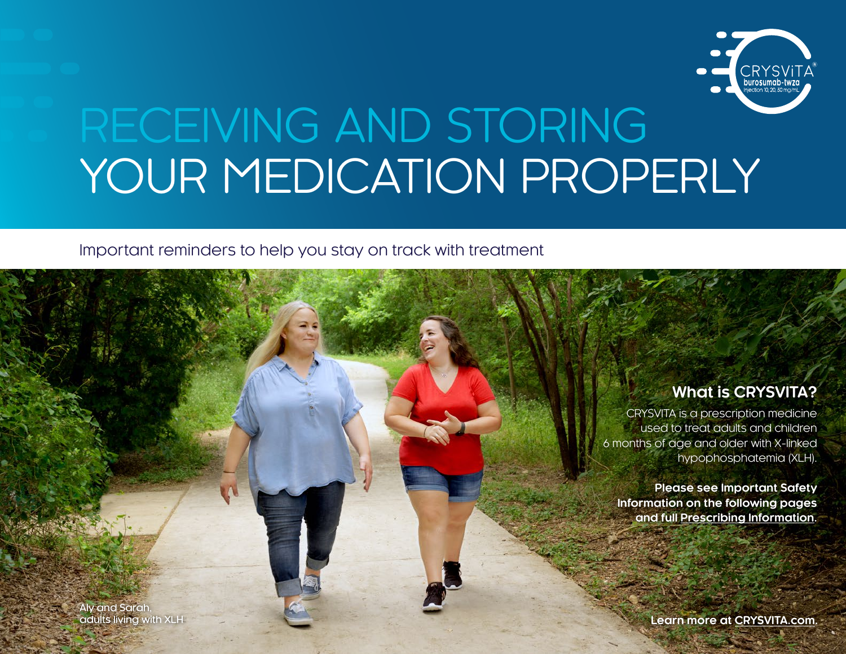

# RECEIVING AND STORING YOUR MEDICATION PROPERLY

#### Important reminders to help you stay on track with treatment

## **What is CRYSVITA?**

CRYSVITA is a prescription medicine used to treat adults and children 6 months of age and older with X-linked hypophosphatemia (XLH).

**Please see Important Safety Information on the following pages and full [Prescribing Information](https://www.ultragenyx.com/medicines/crysvita-full-prescribing-information/).**

Aly and Sarah,<br>adults living with XLH

**Learn more at [CRYSVITA.com](https://www.crysvita.com/
).**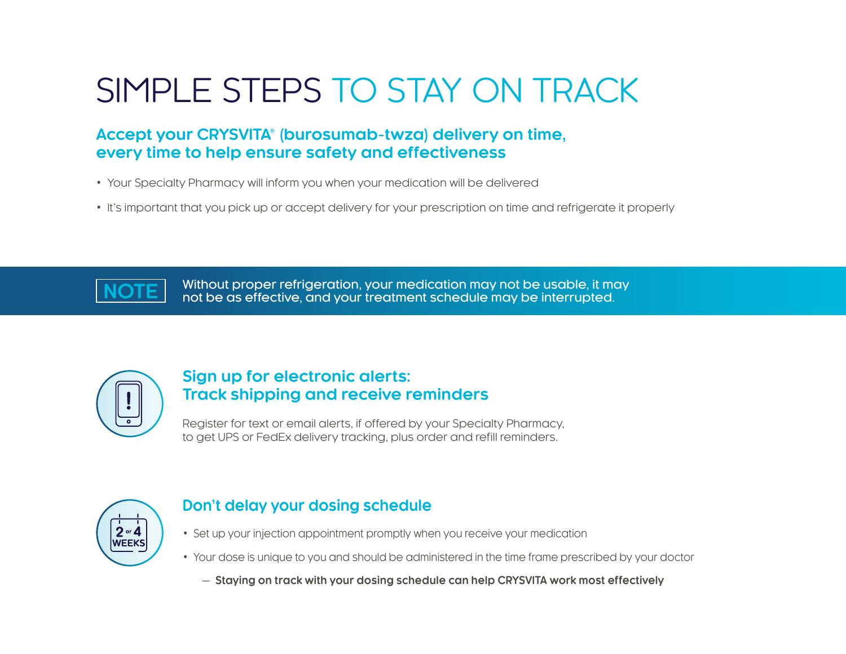## SIMPLE STEPS TO STAY ON TRACK

## **Accept your CRYSVITA***®* **(burosumab-twza) delivery on time, every time to help ensure safety and effectiveness**

- Your Specialty Pharmacy will inform you when your medication will be delivered
- It's important that you pick up or accept delivery for your prescription on time and refrigerate it properly

**NOTE** Without proper refrigeration, your medication may not be usable, it may not be as effective, and your treatment schedule may be interrupted.



## **Sign up for electronic alerts: Track shipping and receive reminders**

Register for text or email alerts, if offered by your Specialty Pharmacy, to get UPS or FedEx delivery tracking, plus order and refill reminders.



## **Don't delay your dosing schedule**

- Set up your injection appointment promptly when you receive your medication
- Your dose is unique to you and should be administered in the time frame prescribed by your doctor
	- **Staying on track with your dosing schedule can help CRYSVITA work most effectively**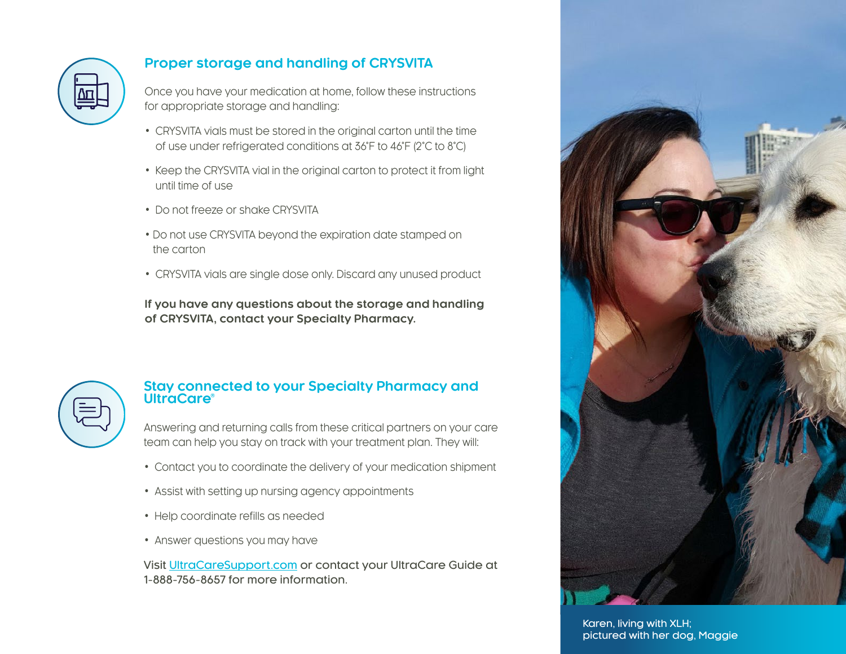

## **Proper storage and handling of CRYSVITA**

Once you have your medication at home, follow these instructions for appropriate storage and handling:

- CRYSVITA vials must be stored in the original carton until the time of use under refrigerated conditions at 36°F to 46°F (2°C to 8°C)
- Keep the CRYSVITA vial in the original carton to protect it from light until time of use
- Do not freeze or shake CRYSVITA
- Do not use CRYSVITA beyond the expiration date stamped on the carton
- CRYSVITA vials are single dose only. Discard any unused product

**If you have any questions about the storage and handling of CRYSVITA, contact your Specialty Pharmacy.** 

#### **Stay connected to your Specialty Pharmacy and UltraCare®**

Answering and returning calls from these critical partners on your care team can help you stay on track with your treatment plan. They will:

- Contact you to coordinate the delivery of your medication shipment
- Assist with setting up nursing agency appointments
- Help coordinate refills as needed
- Answer questions you may have

Visit [UltraCareSupport.com](https://www.ultracaresupport.com/) or contact your UltraCare Guide at 1-888-756-8657 for more information.



Karen, living with XLH; pictured with her dog, Maggie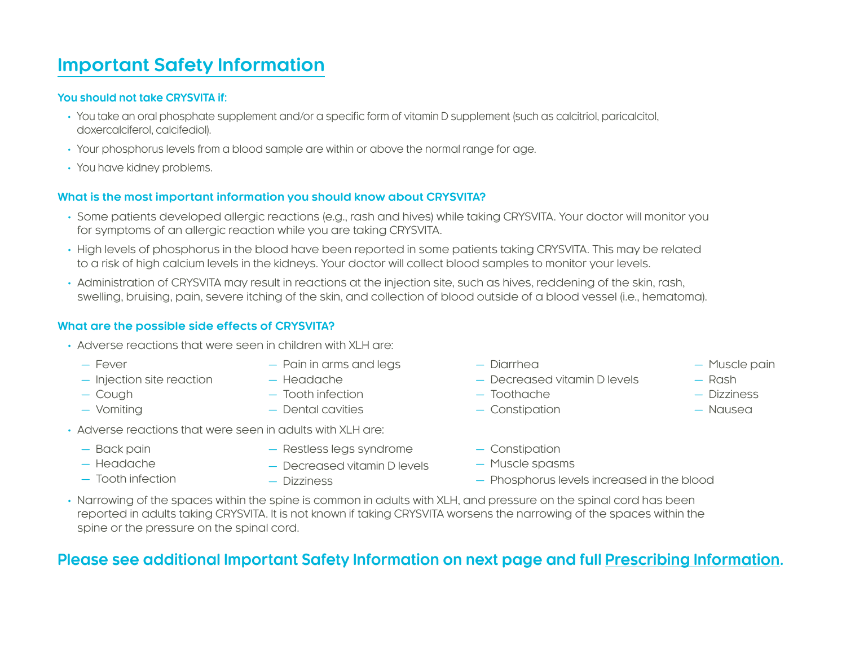## **Important Safety Information**

#### **You should not take CRYSVITA if:**

- You take an oral phosphate supplement and/or a specific form of vitamin D supplement (such as calcitriol, paricalcitol, doxercalciferol, calcifediol).
- Your phosphorus levels from a blood sample are within or above the normal range for age.
- You have kidney problems.

#### **What is the most important information you should know about CRYSVITA?**

- Some patients developed allergic reactions (e.g., rash and hives) while taking CRYSVITA. Your doctor will monitor you for symptoms of an allergic reaction while you are taking CRYSVITA.
- High levels of phosphorus in the blood have been reported in some patients taking CRYSVITA. This may be related to a risk of high calcium levels in the kidneys. Your doctor will collect blood samples to monitor your levels.
- Administration of CRYSVITA may result in reactions at the injection site, such as hives, reddening of the skin, rash, swelling, bruising, pain, severe itching of the skin, and collection of blood outside of a blood vessel (i.e., hematoma).

#### **What are the possible side effects of CRYSVITA?**

- Adverse reactions that were seen in children with XLH are:
	- Fever
- Pain in arms and legs
- Injection site reaction Headache
- Cough
- Vomiting
- - Tooth infection
	- Dental cavities
- Adverse reactions that were seen in adults with XLH are:
	- Back pain
	- Headache
	- Tooth infection
- Restless legs syndrome
- Decreased vitamin D levels
- Dizziness
- Diarrhea
- Decreased vitamin D levels
- Toothache
- Constipation
- Constipation
- Muscle spasms
- Phosphorus levels increased in the blood
- Narrowing of the spaces within the spine is common in adults with XLH, and pressure on the spinal cord has been reported in adults taking CRYSVITA. It is not known if taking CRYSVITA worsens the narrowing of the spaces within the spine or the pressure on the spinal cord.

## **Please see additional Important Safety Information on next page and full [Prescribing Information](https://www.ultragenyx.com/medicines/crysvita-full-prescribing-information/).**

- Rash
	- Dizziness

— Muscle pain

- Nausea
-